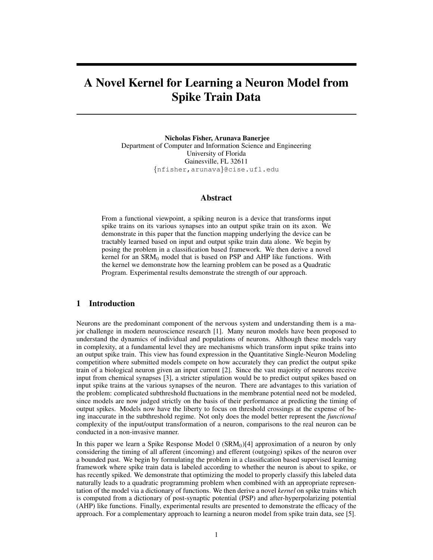# A Novel Kernel for Learning a Neuron Model from Spike Train Data

Nicholas Fisher, Arunava Banerjee Department of Computer and Information Science and Engineering University of Florida Gainesville, FL 32611 {nfisher,arunava}@cise.ufl.edu

## Abstract

From a functional viewpoint, a spiking neuron is a device that transforms input spike trains on its various synapses into an output spike train on its axon. We demonstrate in this paper that the function mapping underlying the device can be tractably learned based on input and output spike train data alone. We begin by posing the problem in a classification based framework. We then derive a novel kernel for an  $SRM<sub>0</sub>$  model that is based on PSP and AHP like functions. With the kernel we demonstrate how the learning problem can be posed as a Quadratic Program. Experimental results demonstrate the strength of our approach.

# 1 Introduction

Neurons are the predominant component of the nervous system and understanding them is a major challenge in modern neuroscience research [1]. Many neuron models have been proposed to understand the dynamics of individual and populations of neurons. Although these models vary in complexity, at a fundamental level they are mechanisms which transform input spike trains into an output spike train. This view has found expression in the Quantitative Single-Neuron Modeling competition where submitted models compete on how accurately they can predict the output spike train of a biological neuron given an input current [2]. Since the vast majority of neurons receive input from chemical synapses [3], a stricter stipulation would be to predict output spikes based on input spike trains at the various synapses of the neuron. There are advantages to this variation of the problem: complicated subthreshold fluctuations in the membrane potential need not be modeled, since models are now judged strictly on the basis of their performance at predicting the timing of output spikes. Models now have the liberty to focus on threshold crossings at the expense of being inaccurate in the subthreshold regime. Not only does the model better represent the *functional* complexity of the input/output transformation of a neuron, comparisons to the real neuron can be conducted in a non-invasive manner.

In this paper we learn a Spike Response Model  $0$  (SRM<sub>0</sub>)[4] approximation of a neuron by only considering the timing of all afferent (incoming) and efferent (outgoing) spikes of the neuron over a bounded past. We begin by formulating the problem in a classification based supervised learning framework where spike train data is labeled according to whether the neuron is about to spike, or has recently spiked. We demonstrate that optimizing the model to properly classify this labeled data naturally leads to a quadratic programming problem when combined with an appropriate representation of the model via a dictionary of functions. We then derive a novel *kernel* on spike trains which is computed from a dictionary of post-synaptic potential (PSP) and after-hyperpolarizing potential (AHP) like functions. Finally, experimental results are presented to demonstrate the efficacy of the approach. For a complementary approach to learning a neuron model from spike train data, see [5].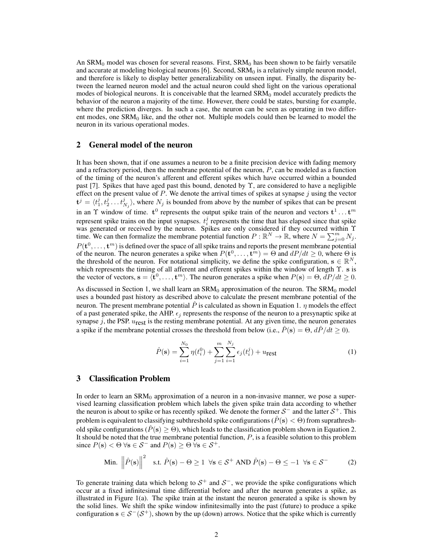An  $\text{SRM}_0$  model was chosen for several reasons. First,  $\text{SRM}_0$  has been shown to be fairly versatile and accurate at modeling biological neurons  $[6]$ . Second, SRM $<sub>0</sub>$  is a relatively simple neuron model,</sub> and therefore is likely to display better generalizability on unseen input. Finally, the disparity between the learned neuron model and the actual neuron could shed light on the various operational modes of biological neurons. It is conceivable that the learned  $\text{SRM}_0$  model accurately predicts the behavior of the neuron a majority of the time. However, there could be states, bursting for example, where the prediction diverges. In such a case, the neuron can be seen as operating in two different modes, one  $SRM<sub>0</sub>$  like, and the other not. Multiple models could then be learned to model the neuron in its various operational modes.

## 2 General model of the neuron

It has been shown, that if one assumes a neuron to be a finite precision device with fading memory and a refractory period, then the membrane potential of the neuron,  $P$ , can be modeled as a function of the timing of the neuron's afferent and efferent spikes which have occurred within a bounded past [7]. Spikes that have aged past this bound, denoted by Υ, are considered to have a negligible effect on the present value of  $P$ . We denote the arrival times of spikes at synapse  $j$  using the vector  $\mathbf{t}^{j} = \langle t_1^j, t_2^j \dots t_{N_j}^j \rangle$ , where  $N_j$  is bounded from above by the number of spikes that can be present in an  $\Upsilon$  window of time.  $t^0$  represents the output spike train of the neuron and vectors  $t^1 \dots t^m$ represent spike trains on the input synapses.  $t_i^j$  represents the time that has elapsed since that spike was generated or received by the neuron. Spikes are only considered if they occurred within Υ time. We can then formalize the membrane potential function  $P : \mathbb{R}^N \to \mathbb{R}$ , where  $N = \sum_{j=0}^m N_j$ .  $P(\mathbf{t}^0, \dots, \mathbf{t}^m)$  is defined over the space of all spike trains and reports the present membrane potential of the neuron. The neuron generates a spike when  $P(\mathbf{t}^0, \dots, \mathbf{t}^m) = \Theta$  and  $dP/dt \geq 0$ , where  $\Theta$  is the threshold of the neuron. For notational simplicity, we define the spike configuration,  $s \in \mathbb{R}^N$ , which represents the timing of all afferent and efferent spikes within the window of length Υ. s is the vector of vectors,  $\mathbf{s} = \langle \mathbf{t}^0, \dots, \mathbf{t}^m \rangle$ . The neuron generates a spike when  $P(\mathbf{s}) = \Theta, dP/dt \ge 0$ .

As discussed in Section 1, we shall learn an  $SRM<sub>0</sub>$  approximation of the neuron. The  $SRM<sub>0</sub>$  model uses a bounded past history as described above to calculate the present membrane potential of the neuron. The present membrane potential  $\tilde{P}$  is calculated as shown in Equation 1.  $\eta$  models the effect of a past generated spike, the AHP.  $\epsilon_i$  represents the response of the neuron to a presynaptic spike at synapse  $j$ , the PSP.  $u_{\text{rest}}$  is the resting membrane potential. At any given time, the neuron generates a spike if the membrane potential crosses the threshold from below (i.e.,  $\hat{P}(s) = \Theta, d\hat{P}/dt \ge 0$ ).

$$
\hat{P}(\mathbf{s}) = \sum_{i=1}^{N_0} \eta(t_i^0) + \sum_{j=1}^m \sum_{i=1}^{N_j} \epsilon_j(t_i^j) + u_{\text{rest}} \tag{1}
$$

## 3 Classification Problem

In order to learn an  $SRM<sub>0</sub>$  approximation of a neuron in a non-invasive manner, we pose a supervised learning classification problem which labels the given spike train data according to whether the neuron is about to spike or has recently spiked. We denote the former  $S^-$  and the latter  $S^+$ . This problem is equivalent to classifying subthreshold spike configurations ( $\hat{P}(s) < \Theta$ ) from suprathreshold spike configurations ( $\hat{P}(s) \ge \Theta$ ), which leads to the classification problem shown in Equation 2. It should be noted that the true membrane potential function,  $P$ , is a feasible solution to this problem since  $P(s) < \Theta \forall s \in \mathcal{S}^-$  and  $P(s) \geq \Theta \forall s \in \mathcal{S}^+$ .

Min. 
$$
\left\|\hat{P}(\mathbf{s})\right\|^2
$$
 s.t.  $\hat{P}(\mathbf{s}) - \Theta \ge 1$   $\forall \mathbf{s} \in \mathcal{S}^+$  AND  $\hat{P}(\mathbf{s}) - \Theta \le -1$   $\forall \mathbf{s} \in \mathcal{S}^-$  (2)

To generate training data which belong to  $S^+$  and  $S^-$ , we provide the spike configurations which occur at a fixed infinitesimal time differential before and after the neuron generates a spike, as illustrated in Figure 1(a). The spike train at the instant the neuron generated a spike is shown by the solid lines. We shift the spike window infinitesimally into the past (future) to produce a spike configuration  $s \in S^-(S^+)$ , shown by the up (down) arrows. Notice that the spike which is currently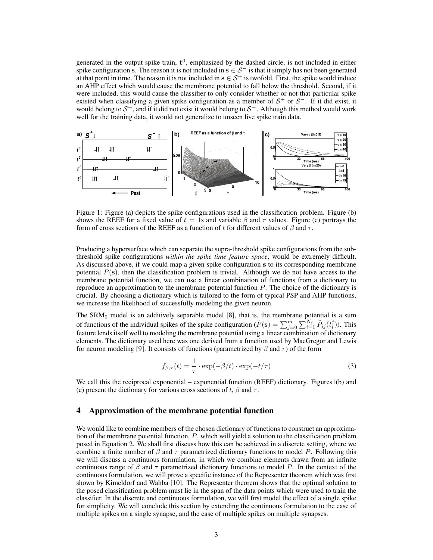generated in the output spike train,  $t^0$ , emphasized by the dashed circle, is not included in either spike configuration s. The reason it is not included in  $s \in S^-$  is that it simply has not been generated at that point in time. The reason it is not included in  $s \in S^+$  is twofold. First, the spike would induce an AHP effect which would cause the membrane potential to fall below the threshold. Second, if it were included, this would cause the classifier to only consider whether or not that particular spike existed when classifying a given spike configuration as a member of  $S^+$  or  $S^-$ . If it did exist, it would belong to  $S^+$ , and if it did not exist it would belong to  $S^-$ . Although this method would work well for the training data, it would not generalize to unseen live spike train data.



Figure 1: Figure (a) depicts the spike configurations used in the classification problem. Figure (b) shows the REEF for a fixed value of  $t = 1$ s and variable  $\beta$  and  $\tau$  values. Figure (c) portrays the form of cross sections of the REEF as a function of t for different values of  $\beta$  and  $\tau$ .

Producing a hypersurface which can separate the supra-threshold spike configurations from the subthreshold spike configurations *within the spike time feature space*, would be extremely difficult. As discussed above, if we could map a given spike configuration s to its corresponding membrane potential  $P(s)$ , then the classification problem is trivial. Although we do not have access to the membrane potential function, we can use a linear combination of functions from a dictionary to reproduce an approximation to the membrane potential function P. The choice of the dictionary is crucial. By choosing a dictionary which is tailored to the form of typical PSP and AHP functions, we increase the likelihood of successfully modeling the given neuron.

The  $SRM<sub>0</sub>$  model is an additively separable model [8], that is, the membrane potential is a sum of functions of the individual spikes of the spike configuration ( $\hat{P}(\mathbf{s}) = \sum_{j=0}^{m} \sum_{i=1}^{N_j} \hat{P}_{ij}(t_i^j)$ ). This feature lends itself well to modeling the membrane potential using a linear combination of dictionary elements. The dictionary used here was one derived from a function used by MacGregor and Lewis for neuron modeling [9]. It consists of functions (parametrized by  $\beta$  and  $\tau$ ) of the form

$$
f_{\beta,\tau}(t) = \frac{1}{\tau} \cdot \exp(-\beta/t) \cdot \exp(-t/\tau)
$$
 (3)

We call this the reciprocal exponential – exponential function (REEF) dictionary. Figures1(b) and (c) present the dictionary for various cross sections of t,  $\beta$  and  $\tau$ .

## 4 Approximation of the membrane potential function

We would like to combine members of the chosen dictionary of functions to construct an approximation of the membrane potential function, P, which will yield a solution to the classification problem posed in Equation 2. We shall first discuss how this can be achieved in a discrete setting, where we combine a finite number of  $\beta$  and  $\tau$  parametrized dictionary functions to model P. Following this we will discuss a continuous formulation, in which we combine elements drawn from an infinite continuous range of  $\beta$  and  $\tau$  parametrized dictionary functions to model P. In the context of the continuous formulation, we will prove a specific instance of the Representer theorem which was first shown by Kimeldorf and Wahba [10]. The Representer theorem shows that the optimal solution to the posed classification problem must lie in the span of the data points which were used to train the classifier. In the discrete and continuous formulation, we will first model the effect of a single spike for simplicity. We will conclude this section by extending the continuous formulation to the case of multiple spikes on a single synapse, and the case of multiple spikes on multiple synapses.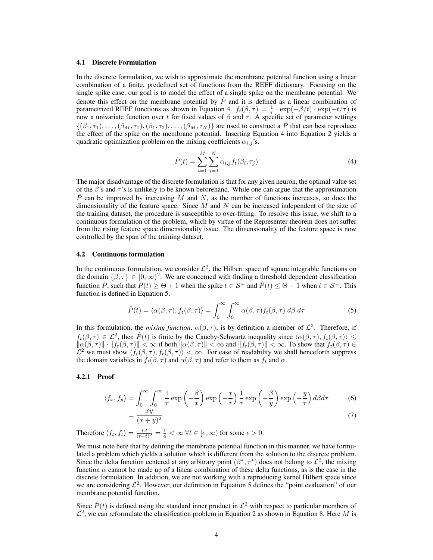## 4.1 Discrete Formulation

In the discrete formulation, we wish to approximate the membrane potential function using a linear combination of a finite, predefined set of functions from the REEF dictionary. Focusing on the single spike case, our goal is to model the effect of a single spike on the membrane potential. We denote this effect on the membrane potential by  $\hat{P}$  and it is defined as a linear combination of parametrized REEF functions as shown in Equation 4.  $f_t(\beta, \tau) = \frac{1}{\tau} \cdot \exp(-\beta/t) \cdot \exp(-t/\tau)$  is now a univariate function over t for fixed values of  $\beta$  and  $\tau$ . A specific set of parameter settings  $\{(\beta_1, \tau_1), \ldots, (\beta_M, \tau_1), (\beta_1, \tau_2), \ldots, (\beta_M, \tau_N)\}\$ are used to construct a  $\hat{P}$  that can best reproduce the effect of the spike on the membrane potential. Inserting Equation 4 into Equation 2 yields a quadratic optimization problem on the mixing coefficients  $\alpha_{i,j}$ 's.

$$
\hat{P}(t) = \sum_{i=1}^{M} \sum_{j=1}^{N} \alpha_{i,j} f_t(\beta_i, \tau_j)
$$
\n(4)

The major disadvantage of the discrete formulation is that for any given neuron, the optimal value set of the  $\beta$ 's and  $\tau$ 's is unlikely to be known beforehand. While one can argue that the approximation  $\hat{P}$  can be improved by increasing M and N, as the number of functions increases, so does the dimensionality of the feature space. Since  $M$  and  $N$  can be increased independent of the size of the training dataset, the procedure is susceptible to over-fitting. To resolve this issue, we shift to a continuous formulation of the problem, which by virtue of the Representer theorem does not suffer from the rising feature space dimensionality issue. The dimensionality of the feature space is now controlled by the span of the training dataset.

#### 4.2 Continuous formulation

In the continuous formulation, we consider  $\mathcal{L}^2$ , the Hilbert space of square integrable functions on the domain  $\{\beta, \tau\} \in [0, \infty)^2$ . We are concerned with finding a threshold dependent classification function  $\hat{P}$ , such that  $\hat{P}(t) > \Theta + 1$  when the spike  $t \in S^+$  and  $\hat{P}(t) < \Theta - 1$  when  $t \in S^-$ . This function is defined in Equation 5.

$$
\hat{P}(t) = \langle \alpha(\beta, \tau), f_t(\beta, \tau) \rangle = \int_0^\infty \int_0^\infty \alpha(\beta, \tau) f_t(\beta, \tau) \, d\beta \, d\tau \tag{5}
$$

In this formulation, the *mixing function*,  $\alpha(\beta, \tau)$ , is by definition a member of  $\mathcal{L}^2$ . Therefore, if  $f_t(\beta, \tau) \in \mathcal{L}^2$ , then  $\hat{P}(t)$  is finite by the Cauchy-Schwartz inequality since  $\langle \alpha(\beta, \tau), f_t(\beta, \tau) \rangle \leq$  $\|\alpha(\beta, \tau)\| \cdot \|f_t(\beta, \tau)\| < \infty$  if both  $\|\alpha(\beta, \tau)\| < \infty$  and  $\|f_t(\beta, \tau)\| < \infty$ . To show that  $f_t(\beta, \tau) \in$  $\mathcal{L}^2$  we must show  $\langle f_t(\beta, \tau), f_t(\beta, \tau) \rangle < \infty$ . For ease of readability we shall henceforth suppress the domain variables in  $f_t(\beta, \tau)$  and  $\alpha(\beta, \tau)$  and refer to them as  $f_t$  and  $\alpha$ .

## 4.2.1 Proof

$$
\langle f_x, f_y \rangle = \int_0^\infty \int_0^\infty \frac{1}{\tau} \exp\left(-\frac{\beta}{x}\right) \exp\left(-\frac{x}{\tau}\right) \frac{1}{\tau} \exp\left(-\frac{\beta}{y}\right) \exp\left(-\frac{y}{\tau}\right) d\beta d\tau \tag{6}
$$

$$
=\frac{xy}{(x+y)^2}
$$
 (7)

Therefore  $\langle f_t, f_t \rangle = \frac{t \cdot t}{(t+t)^2} = \frac{1}{4} < \infty \ \forall t \in [\epsilon, \infty)$  for some  $\epsilon > 0$ .

We must note here that by defining the membrane potential function in this manner, we have formulated a problem which yields a solution which is different from the solution to the discrete problem. Since the delta function centered at any arbitrary point  $(\beta^*, \tau^*)$  does not belong to  $\mathcal{L}^2$ , the mixing function  $\alpha$  cannot be made up of a linear combination of these delta functions, as is the case in the discrete formulation. In addition, we are not working with a reproducing kernel Hilbert space since we are considering  $\mathcal{L}^2$ . However, our definition in Equation 5 defines the "point evaluation" of our membrane potential function.

Since  $\hat{P}(t)$  is defined using the standard inner product in  $\mathcal{L}^2$  with respect to particular members of  $\mathcal{L}^2$ , we can reformulate the classification problem in Equation 2 as shown in Equation 8. Here M is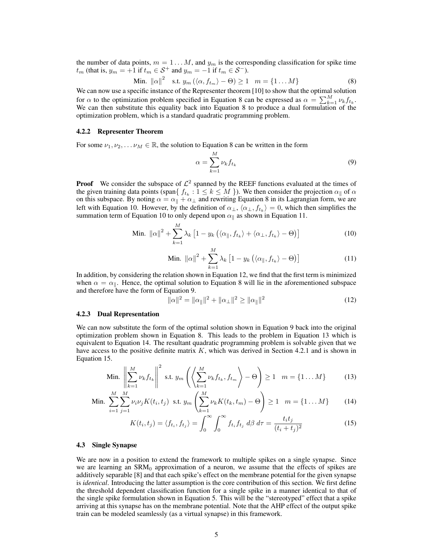the number of data points,  $m = 1...M$ , and  $y_m$  is the corresponding classification for spike time  $t_m$  (that is,  $y_m = +1$  if  $t_m \in S^+$  and  $y_m = -1$  if  $t_m \in S^-$ ).

Min. 
$$
\|\alpha\|^2
$$
 s.t.  $y_m(\langle \alpha, f_{t_m} \rangle - \Theta) \ge 1$   $m = \{1...M\}$  (8)

We can now use a specific instance of the Representer theorem [10] to show that the optimal solution for  $\alpha$  to the optimization problem specified in Equation 8 can be expressed as  $\alpha = \sum_{k=1}^{M} \nu_k f_{t_k}$ . We can then substitute this equality back into Equation 8 to produce a dual formulation of the optimization problem, which is a standard quadratic programming problem.

## 4.2.2 Representer Theorem

For some  $\nu_1, \nu_2, \ldots, \nu_M \in \mathbb{R}$ , the solution to Equation 8 can be written in the form

$$
\alpha = \sum_{k=1}^{M} \nu_k f_{t_k} \tag{9}
$$

**Proof** We consider the subspace of  $\mathcal{L}^2$  spanned by the REEF functions evaluated at the times of the given training data points (span $\{f_{t_k} : 1 \leq k \leq M\}$ ). We then consider the projection  $\alpha_{\parallel}$  of  $\alpha$ on this subspace. By noting  $\alpha = \alpha_{\parallel} + \alpha_{\perp}$  and rewriting Equation 8 in its Lagrangian form, we are left with Equation 10. However, by the definition of  $\alpha_{\perp}, \langle \alpha_{\perp}, f_{t_k} \rangle = 0$ , which then simplifies the summation term of Equation 10 to only depend upon  $\alpha_{\parallel}$  as shown in Equation 11.

$$
\text{Min. } \|\alpha\|^2 + \sum_{k=1}^{M} \lambda_k \left[1 - y_k \left(\langle \alpha_{\parallel}, f_{t_k} \rangle + \langle \alpha_{\perp}, f_{t_k} \rangle - \Theta\right)\right] \tag{10}
$$

Min. 
$$
\|\alpha\|^2 + \sum_{k=1}^M \lambda_k \left[1 - y_k \left(\langle \alpha_{\parallel}, f_{t_k} \rangle - \Theta\right)\right]
$$
 (11)

In addition, by considering the relation shown in Equation 12, we find that the first term is minimized when  $\alpha = \alpha_{\parallel}$ . Hence, the optimal solution to Equation 8 will lie in the aforementioned subspace and therefore have the form of Equation 9.

$$
\|\alpha\|^2 = \|\alpha_{\parallel}\|^2 + \|\alpha_{\perp}\|^2 \ge \|\alpha_{\parallel}\|^2 \tag{12}
$$

## 4.2.3 Dual Representation

We can now substitute the form of the optimal solution shown in Equation 9 back into the original optimization problem shown in Equation 8. This leads to the problem in Equation 13 which is equivalent to Equation 14. The resultant quadratic programming problem is solvable given that we have access to the positive definite matrix  $K$ , which was derived in Section 4.2.1 and is shown in Equation 15.

$$
\text{Min.} \left\| \sum_{k=1}^{M} \nu_k f_{t_k} \right\|^2 \text{ s.t. } y_m \left( \left\langle \sum_{k=1}^{M} \nu_k f_{t_k}, f_{t_m} \right\rangle - \Theta \right) \ge 1 \quad m = \{1 \dots M\} \tag{13}
$$

Min. 
$$
\sum_{i=1}^{M} \sum_{j=1}^{M} \nu_i \nu_j K(t_i, t_j) \text{ s.t. } y_m \left( \sum_{k=1}^{M} \nu_k K(t_k, t_m) - \Theta \right) \ge 1 \quad m = \{1 \dots M\}
$$
 (14)

$$
K(t_i, t_j) = \langle f_{t_i}, f_{t_j} \rangle = \int_0^\infty \int_0^\infty f_{t_i} f_{t_j} d\beta d\tau = \frac{t_i t_j}{(t_i + t_j)^2}
$$
(15)

#### 4.3 Single Synapse

We are now in a position to extend the framework to multiple spikes on a single synapse. Since we are learning an  $SRM<sub>0</sub>$  approximation of a neuron, we assume that the effects of spikes are additively separable [8] and that each spike's effect on the membrane potential for the given synapse is *identical*. Introducing the latter assumption is the core contribution of this section. We first define the threshold dependent classification function for a single spike in a manner identical to that of the single spike formulation shown in Equation 5. This will be the "stereotyped" effect that a spike arriving at this synapse has on the membrane potential. Note that the AHP effect of the output spike train can be modeled seamlessly (as a virtual synapse) in this framework.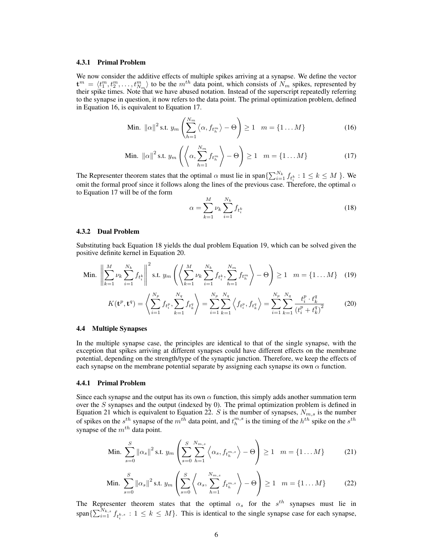## 4.3.1 Primal Problem

We now consider the additive effects of multiple spikes arriving at a synapse. We define the vector  $\mathbf{t}^m = \langle t_1^m, t_2^m, \ldots, t_{N_m}^m \rangle$  to be the  $m^{th}$  data point, which consists of  $N_m$  spikes, represented by their spike times. Note that we have abused notation. Instead of the superscript repeatedly referring to the synapse in question, it now refers to the data point. The primal optimization problem, defined in Equation 16, is equivalent to Equation 17.

$$
\text{Min. } \|\alpha\|^2 \text{ s.t. } y_m\left(\sum_{h=1}^{N_m} \langle \alpha, f_{t_h^m} \rangle - \Theta\right) \ge 1 \quad m = \{1 \dots M\} \tag{16}
$$

Min. 
$$
\|\alpha\|^2
$$
 s.t.  $y_m\left(\left\langle \alpha, \sum_{h=1}^{N_m} f_{t_h^m} \right\rangle - \Theta \right) \ge 1 \quad m = \{1 \dots M\}$  (17)

The Representer theorem states that the optimal  $\alpha$  must lie in span $\{\sum_{i=1}^{N_k} f_{t_i^k} : 1 \leq k \leq M\}$ . We omit the formal proof since it follows along the lines of the previous case. Therefore, the optimal  $\alpha$ to Equation 17 will be of the form

$$
\alpha = \sum_{k=1}^{M} \nu_k \sum_{i=1}^{N_k} f_{t_i^k}
$$
\n(18)

#### 4.3.2 Dual Problem

 $\sim$ 

Substituting back Equation 18 yields the dual problem Equation 19, which can be solved given the positive definite kernel in Equation 20.

Min. 
$$
\left\| \sum_{k=1}^{M} \nu_k \sum_{i=1}^{N_k} f_{t_i^k} \right\|^2
$$
 s.t.  $y_m \left( \left\langle \sum_{k=1}^{M} \nu_k \sum_{i=1}^{N_k} f_{t_i^k}, \sum_{h=1}^{N_m} f_{t_h^m} \right\rangle - \Theta \right) \ge 1$   $m = \{1 \dots M\}$  (19)

$$
K(\mathbf{t}^p, \mathbf{t}^q) = \left\langle \sum_{i=1}^{N_p} f_{t_i^p}, \sum_{k=1}^{N_q} f_{t_k^q} \right\rangle = \sum_{i=1}^{N_p} \sum_{k=1}^{N_q} \left\langle f_{t_i^p}, f_{t_k^q} \right\rangle = \sum_{i=1}^{N_p} \sum_{k=1}^{N_q} \frac{t_i^p \cdot t_k^q}{(t_i^p + t_k^q)^2}
$$
(20)

#### 4.4 Multiple Synapses

In the multiple synapse case, the principles are identical to that of the single synapse, with the exception that spikes arriving at different synapses could have different effects on the membrane potential, depending on the strength/type of the synaptic junction. Therefore, we keep the effects of each synapse on the membrane potential separate by assigning each synapse its own  $\alpha$  function.

## 4.4.1 Primal Problem

Since each synapse and the output has its own  $\alpha$  function, this simply adds another summation term over the S synapses and the output (indexed by 0). The primal optimization problem is defined in Equation 21 which is equivalent to Equation 22. S is the number of synapses,  $N_{m,s}$  is the number of spikes on the  $s^{th}$  synapse of the  $m^{th}$  data point, and  $t_h^{m,s}$  is the timing of the  $h^{th}$  spike on the  $s^{th}$ synapse of the  $m^{th}$  data point.

$$
\text{Min. } \sum_{s=0}^{S} \left\| \alpha_s \right\|^2 \text{s.t. } y_m \left( \sum_{s=0}^{S} \sum_{h=1}^{N_{m,s}} \left\langle \alpha_s, f_{t_h^{m,s}} \right\rangle - \Theta \right) \ge 1 \quad m = \{1 \dots M\}
$$
 (21)

Min. 
$$
\sum_{s=0}^{S} ||\alpha_s||^2 \text{ s.t. } y_m \left( \sum_{s=0}^{S} \left\langle \alpha_s, \sum_{h=1}^{N_{m,s}} f_{t_h^{m,s}} \right\rangle - \Theta \right) \ge 1 \quad m = \{1 \dots M\}
$$
 (22)

The Representer theorem states that the optimal  $\alpha_s$  for the  $s^{th}$  synapses must lie in span $\{\sum_{i=1}^{N_{k,s}} f_{t_i^{k,s}} : 1 \leq k \leq M\}$ . This is identical to the single synapse case for each synapse,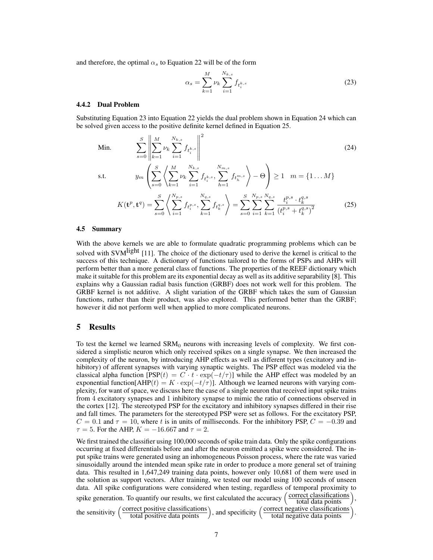and therefore, the optimal  $\alpha_s$  to Equation 22 will be of the form

$$
\alpha_s = \sum_{k=1}^{M} \nu_k \sum_{i=1}^{N_{k,s}} f_{t_i^{k,s}}
$$
\n(23)

## 4.4.2 Dual Problem

Substituting Equation 23 into Equation 22 yields the dual problem shown in Equation 24 which can be solved given access to the positive definite kernel defined in Equation 25.

Min. 
$$
\sum_{s=0}^{S} \left\| \sum_{k=1}^{M} \nu_k \sum_{i=1}^{N_{k,s}} f_{t_i^{k,s}} \right\|^2
$$
 (24)

s.t.

$$
y_m\left(\sum_{s=0}^S \left\langle \sum_{k=1}^M \nu_k \sum_{i=1}^{N_{k,s}} f_{t_i^{k,s}}, \sum_{h=1}^{N_{m,s}} f_{t_h^{m,s}} \right\rangle - \Theta \right) \ge 1 \quad m = \{1 \dots M\}
$$

$$
K(\mathbf{t}^p, \mathbf{t}^q) = \sum_{s=0}^S \left\langle \sum_{i=1}^{N_{p,s}} f_{t_i^{p,s}}, \sum_{k=1}^{N_{q,s}} f_{t_k^{q,s}} \right\rangle = \sum_{s=0}^S \sum_{i=1}^{N_{p,s}} \sum_{k=1}^{N_{q,s}} \frac{t_i^{p,s} \cdot t_k^{q,s}}{(t_i^{p,s} + t_k^{q,s})^2} \tag{25}
$$

#### 4.5 Summary

With the above kernels we are able to formulate quadratic programming problems which can be solved with SVM<sup>light</sup> [11]. The choice of the dictionary used to derive the kernel is critical to the success of this technique. A dictionary of functions tailored to the forms of PSPs and AHPs will perform better than a more general class of functions. The properties of the REEF dictionary which make it suitable for this problem are its exponential decay as well as its additive separability [8]. This explains why a Gaussian radial basis function (GRBF) does not work well for this problem. The GRBF kernel is not additive. A slight variation of the GRBF which takes the sum of Gaussian functions, rather than their product, was also explored. This performed better than the GRBF; however it did not perform well when applied to more complicated neurons.

 $k=1$ 

## 5 Results

To test the kernel we learned  $SRM<sub>0</sub>$  neurons with increasing levels of complexity. We first considered a simplistic neuron which only received spikes on a single synapse. We then increased the complexity of the neuron, by introducing AHP effects as well as different types (excitatory and inhibitory) of afferent synapses with varying synaptic weights. The PSP effect was modeled via the classical alpha function  $[PSP(t) = C \cdot t \cdot \exp(-t/\tau)]$  while the AHP effect was modeled by an exponential function[AHP(t) =  $K \cdot \exp(-t/\tau)$ ]. Although we learned neurons with varying complexity, for want of space, we discuss here the case of a single neuron that received input spike trains from 4 excitatory synapses and 1 inhibitory synapse to mimic the ratio of connections observed in the cortex [12]. The stereotyped PSP for the excitatory and inhibitory synapses differed in their rise and fall times. The parameters for the stereotyped PSP were set as follows. For the excitatory PSP,  $C = 0.1$  and  $\tau = 10$ , where t is in units of milliseconds. For the inhibitory PSP,  $C = -0.39$  and  $\tau = 5$ . For the AHP,  $K = -16.667$  and  $\tau = 2$ .

We first trained the classifier using 100,000 seconds of spike train data. Only the spike configurations occurring at fixed differentials before and after the neuron emitted a spike were considered. The input spike trains were generated using an inhomogeneous Poisson process, where the rate was varied sinusoidally around the intended mean spike rate in order to produce a more general set of training data. This resulted in 1,647,249 training data points, however only 10,681 of them were used in the solution as support vectors. After training, we tested our model using 100 seconds of unseen data. All spike configurations were considered when testing, regardless of temporal proximity to spike generation. To quantify our results, we first calculated the accuracy  $\left(\frac{\text{correct classifications}}{\text{total data points}}\right)$ , the sensitivity  $\left(\frac{\text{correct positive classifications}}{\text{total positive data points}}\right)$ , and specificity  $\left(\frac{\text{correct negative classifications}}{\text{total negative data points}}\right)$ .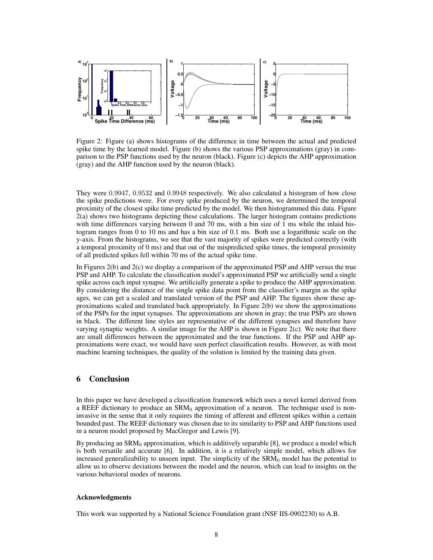

Figure 2: Figure (a) shows histograms of the difference in time between the actual and predicted spike time by the learned model. Figure (b) shows the various PSP approximations (gray) in comparison to the PSP functions used by the neuron (black). Figure (c) depicts the AHP approximation (gray) and the AHP function used by the neuron (black).

They were 0.9947, 0.9532 and 0.9948 respectively. We also calculated a histogram of how close the spike predictions were. For every spike produced by the neuron, we determined the temporal proximity of the closest spike time predicted by the model. We then histogrammed this data. Figure 2(a) shows two histograms depicting these calculations. The larger histogram contains predictions with time differences varying between 0 and 70 ms, with a bin size of 1 ms while the inlaid histogram ranges from 0 to 10 ms and has a bin size of 0.1 ms. Both use a logarithmic scale on the y-axis. From the histograms, we see that the vast majority of spikes were predicted correctly (with a temporal proximity of 0 ms) and that out of the mispredicted spike times, the temporal proximity of all predicted spikes fell within 70 ms of the actual spike time.

In Figures 2(b) and 2(c) we display a comparison of the approximated PSP and AHP versus the true PSP and AHP. To calculate the classification model's approximated PSP we artificially send a single spike across each input synapse. We artificially generate a spike to produce the AHP approximation. By considering the distance of the single spike data point from the classifier's margin as the spike ages, we can get a scaled and translated version of the PSP and AHP. The figures show these approximations scaled and translated back appropriately. In Figure 2(b) we show the approximations of the PSPs for the input synapses. The approximations are shown in gray; the true PSPs are shown in black. The different line styles are representative of the different synapses and therefore have varying synaptic weights. A similar image for the AHP is shown in Figure 2(c). We note that there are small differences between the approximated and the true functions. If the PSP and AHP approximations were exact, we would have seen perfect classification results. However, as with most machine learning techniques, the quality of the solution is limited by the training data given.

## 6 Conclusion

In this paper we have developed a classification framework which uses a novel kernel derived from a REEF dictionary to produce an  $\text{SRM}_0$  approximation of a neuron. The technique used is noninvasive in the sense that it only requires the timing of afferent and efferent spikes within a certain bounded past. The REEF dictionary was chosen due to its similarity to PSP and AHP functions used in a neuron model proposed by MacGregor and Lewis [9].

By producing an  $SRM<sub>0</sub>$  approximation, which is additively separable [8], we produce a model which is both versatile and accurate [6]. In addition, it is a relatively simple model, which allows for increased generalizability to unseen input. The simplicity of the  $\text{SRM}_0$  model has the potential to allow us to observe deviations between the model and the neuron, which can lead to insights on the various behavioral modes of neurons.

## Acknowledgments

This work was supported by a National Science Foundation grant (NSF IIS-0902230) to A.B.